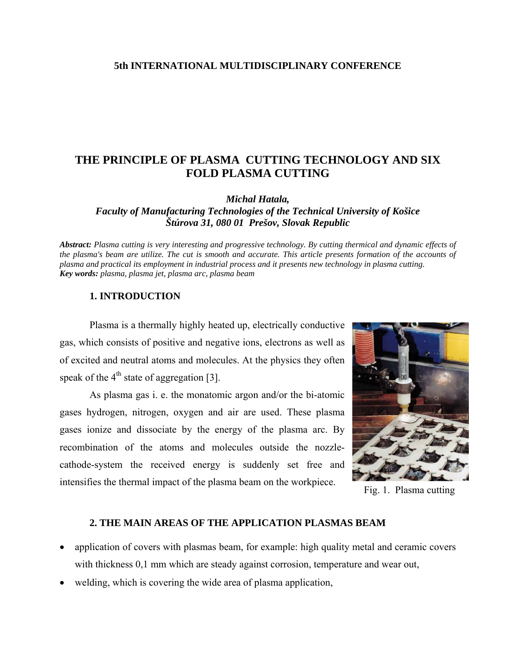### **5th INTERNATIONAL MULTIDISCIPLINARY CONFERENCE**

# **THE PRINCIPLE OF PLASMA CUTTING TECHNOLOGY AND SIX FOLD PLASMA CUTTING**

*Michal Hatala,* 

*Faculty of Manufacturing Technologies of the Technical University of Košice Štúrova 31, 080 01 Prešov, Slovak Republic* 

*Abstract: Plasma cutting is very interesting and progressive technology. By cutting thermical and dynamic effects of the plasma's beam are utilize. The cut is smooth and accurate. This article presents formation of the accounts of plasma and practical its employment in industrial process and it presents new technology in plasma cutting. Key words: plasma, plasma jet, plasma arc, plasma beam* 

## **1. INTRODUCTION**

Plasma is a thermally highly heated up, electrically conductive gas, which consists of positive and negative ions, electrons as well as of excited and neutral atoms and molecules. At the physics they often speak of the  $4<sup>th</sup>$  state of aggregation [3].

As plasma gas i. e. the monatomic argon and/or the bi-atomic gases hydrogen, nitrogen, oxygen and air are used. These plasma gases ionize and dissociate by the energy of the plasma arc. By recombination of the atoms and molecules outside the nozzlecathode-system the received energy is suddenly set free and intensifies the thermal impact of the plasma beam on the workpiece. Fig. 1. Plasma cutting



#### **2. THE MAIN AREAS OF THE APPLICATION PLASMAS BEAM**

- application of covers with plasmas beam, for example: high quality metal and ceramic covers with thickness 0,1 mm which are steady against corrosion, temperature and wear out,
- welding, which is covering the wide area of plasma application,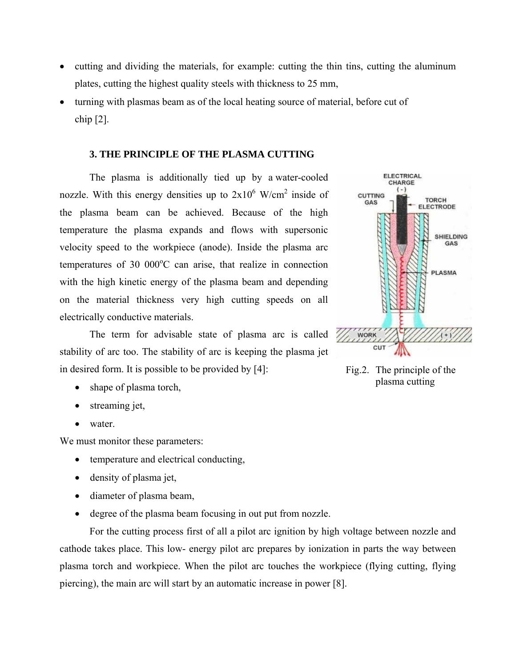- cutting and dividing the materials, for example: cutting the thin tins, cutting the aluminum plates, cutting the highest quality steels with thickness to 25 mm,
- turning with plasmas beam as of the local heating source of material, before cut of chip [2].

# **3. THE PRINCIPLE OF THE PLASMA CUTTING**

The plasma is additionally tied up by a water-cooled nozzle. With this energy densities up to  $2x10^6$  W/cm<sup>2</sup> inside of the plasma beam can be achieved. Because of the high temperature the plasma expands and flows with supersonic velocity speed to the workpiece (anode). Inside the plasma arc temperatures of 30 000°C can arise, that realize in connection with the high kinetic energy of the plasma beam and depending on the material thickness very high cutting speeds on all electrically conductive materials.

The term for advisable state of plasma arc is called stability of arc too. The stability of arc is keeping the plasma jet in desired form. It is possible to be provided by [4]: Fig.2. The principle of the

- 
- streaming jet,
- water

We must monitor these parameters:

- temperature and electrical conducting,
- density of plasma jet,
- diameter of plasma beam,
- degree of the plasma beam focusing in out put from nozzle.

 For the cutting process first of all a pilot arc ignition by high voltage between nozzle and cathode takes place. This low- energy pilot arc prepares by ionization in parts the way between plasma torch and workpiece. When the pilot arc touches the workpiece (flying cutting, flying piercing), the main arc will start by an automatic increase in power [8].



shape of plasma torch,  $\Box$  and  $\Box$  shape of plasma torch,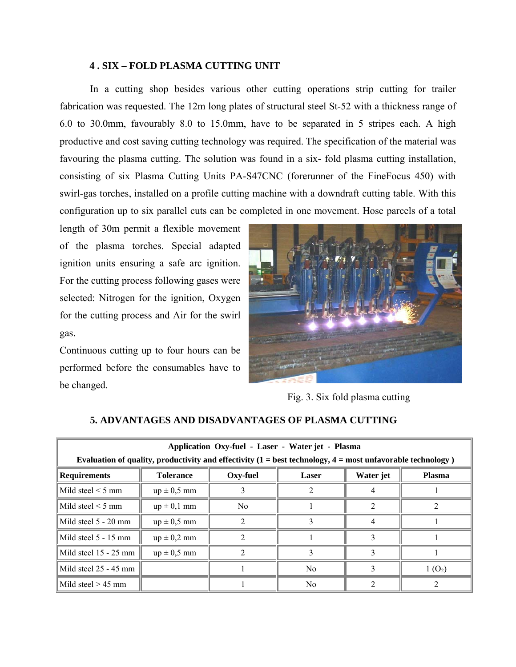## **4 . SIX – FOLD PLASMA CUTTING UNIT**

 In a cutting shop besides various other cutting operations strip cutting for trailer fabrication was requested. The 12m long plates of structural steel St-52 with a thickness range of 6.0 to 30.0mm, favourably 8.0 to 15.0mm, have to be separated in 5 stripes each. A high productive and cost saving cutting technology was required. The specification of the material was favouring the plasma cutting. The solution was found in a six- fold plasma cutting installation, consisting of six Plasma Cutting Units PA-S47CNC (forerunner of the FineFocus 450) with swirl-gas torches, installed on a profile cutting machine with a downdraft cutting table. With this configuration up to six parallel cuts can be completed in one movement. Hose parcels of a total

length of 30m permit a flexible movement of the plasma torches. Special adapted ignition units ensuring a safe arc ignition. For the cutting process following gases were selected: Nitrogen for the ignition, Oxygen for the cutting process and Air for the swirl gas.

Continuous cutting up to four hours can be performed before the consumables have to be changed.



Fig. 3. Six fold plasma cutting

| Application Oxy-fuel - Laser - Water jet - Plasma<br>Evaluation of quality, productivity and effectivity $(1 = best technology, 4 = most unfavorable technology)$ |                  |                |                |           |               |  |  |
|-------------------------------------------------------------------------------------------------------------------------------------------------------------------|------------------|----------------|----------------|-----------|---------------|--|--|
| Requirements                                                                                                                                                      | <b>Tolerance</b> | Oxy-fuel       | <b>Laser</b>   | Water jet | <b>Plasma</b> |  |  |
| $Mild$ steel $\leq 5$ mm                                                                                                                                          | $up \pm 0.5$ mm  |                |                |           |               |  |  |
| $\vert$ Mild steel $\leq$ 5 mm                                                                                                                                    | $up \pm 0,1$ mm  | N <sub>0</sub> |                |           |               |  |  |
| $\text{Mild steel}$ 5 - 20 mm                                                                                                                                     | $up \pm 0.5$ mm  |                |                |           |               |  |  |
| Mild steel 5 - 15 mm                                                                                                                                              | $up \pm 0.2$ mm  |                |                |           |               |  |  |
| Mild steel 15 - 25 mm                                                                                                                                             | $up \pm 0.5$ mm  |                |                |           |               |  |  |
| Mild steel 25 - 45 mm                                                                                                                                             |                  |                | N <sub>0</sub> |           | $1(0_2)$      |  |  |
| $\vert$ Mild steel > 45 mm                                                                                                                                        |                  |                | N <sub>0</sub> |           |               |  |  |

# **5. ADVANTAGES AND DISADVANTAGES OF PLASMA CUTTING**